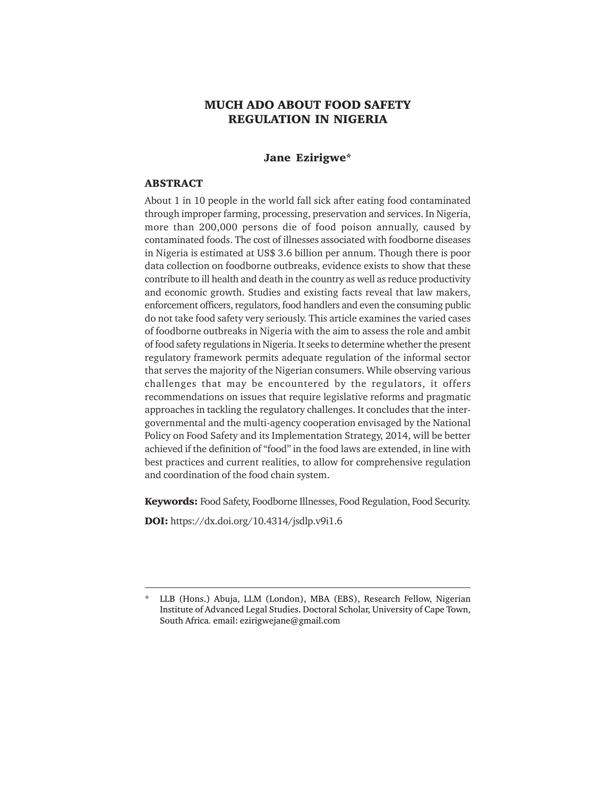# **MUCH ADO ABOUT FOOD SAFETY REGULATION IN NIGERIA**

### **Jane Ezirigwe\***

#### **ABSTRACT**

About 1 in 10 people in the world fall sick after eating food contaminated through improper farming, processing, preservation and services. In Nigeria, more than 200,000 persons die of food poison annually, caused by contaminated foods. The cost of illnesses associated with foodborne diseases in Nigeria is estimated at US\$ 3.6 billion per annum. Though there is poor data collection on foodborne outbreaks, evidence exists to show that these contribute to ill health and death in the country as well as reduce productivity and economic growth. Studies and existing facts reveal that law makers, enforcement officers, regulators, food handlers and even the consuming public do not take food safety very seriously. This article examines the varied cases of foodborne outbreaks in Nigeria with the aim to assess the role and ambit of food safety regulations in Nigeria. It seeks to determine whether the present regulatory framework permits adequate regulation of the informal sector that serves the majority of the Nigerian consumers. While observing various challenges that may be encountered by the regulators, it offers recommendations on issues that require legislative reforms and pragmatic approaches in tackling the regulatory challenges. It concludes that the intergovernmental and the multi-agency cooperation envisaged by the National Policy on Food Safety and its Implementation Strategy, 2014, will be better achieved if the definition of "food" in the food laws are extended, in line with best practices and current realities, to allow for comprehensive regulation and coordination of the food chain system.

**Keywords:** Food Safety, Foodborne Illnesses, Food Regulation, Food Security.

**DOI:** https://dx.doi.org/10.4314/jsdlp.v9i1.6

<sup>\*</sup> LLB (Hons.) Abuja, LLM (London), MBA (EBS), Research Fellow, Nigerian Institute of Advanced Legal Studies. Doctoral Scholar, University of Cape Town, South Africa*.* email: ezirigwejane@gmail.com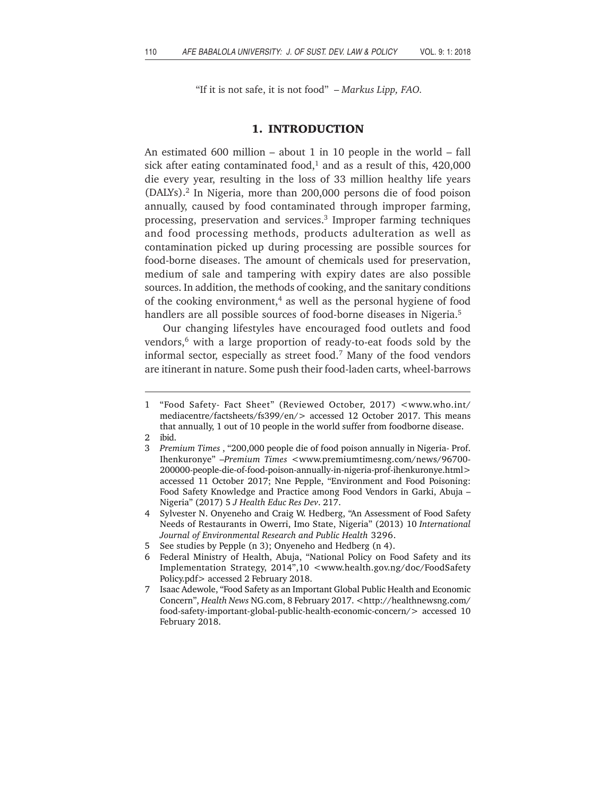"If it is not safe, it is not food" – *Markus Lipp, FAO.*

#### **1. INTRODUCTION**

An estimated 600 million – about 1 in 10 people in the world – fall sick after eating contaminated food, $1$  and as a result of this, 420,000 die every year, resulting in the loss of 33 million healthy life years (DALYs).2 In Nigeria, more than 200,000 persons die of food poison annually, caused by food contaminated through improper farming, processing, preservation and services.3 Improper farming techniques and food processing methods, products adulteration as well as contamination picked up during processing are possible sources for food-borne diseases. The amount of chemicals used for preservation, medium of sale and tampering with expiry dates are also possible sources. In addition, the methods of cooking, and the sanitary conditions of the cooking environment,<sup>4</sup> as well as the personal hygiene of food handlers are all possible sources of food-borne diseases in Nigeria.<sup>5</sup>

Our changing lifestyles have encouraged food outlets and food vendors,<sup>6</sup> with a large proportion of ready-to-eat foods sold by the informal sector, especially as street food.7 Many of the food vendors are itinerant in nature. Some push their food-laden carts, wheel-barrows

- 5 See studies by Pepple (n 3); Onyeneho and Hedberg (n 4).
- 6 Federal Ministry of Health, Abuja, "National Policy on Food Safety and its Implementation Strategy, 2014",10 <www.health.gov.ng/doc/FoodSafety Policy.pdf> accessed 2 February 2018.
- 7 Isaac Adewole, "Food Safety as an Important Global Public Health and Economic Concern", *Health News* NG.com, 8 February 2017. <http://healthnewsng.com/ food-safety-important-global-public-health-economic-concern/> accessed 10 February 2018.

<sup>1 &</sup>quot;Food Safety- Fact Sheet" (Reviewed October, 2017) <www.who.int/ mediacentre/factsheets/fs399/en/> accessed 12 October 2017. This means that annually, 1 out of 10 people in the world suffer from foodborne disease.

<sup>2</sup> ibid.

<sup>3</sup> *Premium Times* , "200,000 people die of food poison annually in Nigeria- Prof. Ihenkuronye" –*Premium Times* <www.premiumtimesng.com/news/96700- 200000-people-die-of-food-poison-annually-in-nigeria-prof-ihenkuronye.html> accessed 11 October 2017; Nne Pepple, "Environment and Food Poisoning: Food Safety Knowledge and Practice among Food Vendors in Garki, Abuja – Nigeria" (2017) 5 *J Health Educ Res Dev*. 217.

<sup>4</sup> Sylvester N. Onyeneho and Craig W. Hedberg, "An Assessment of Food Safety Needs of Restaurants in Owerri, Imo State, Nigeria" (2013) 10 *International Journal of Environmental Research and Public Health* 3296.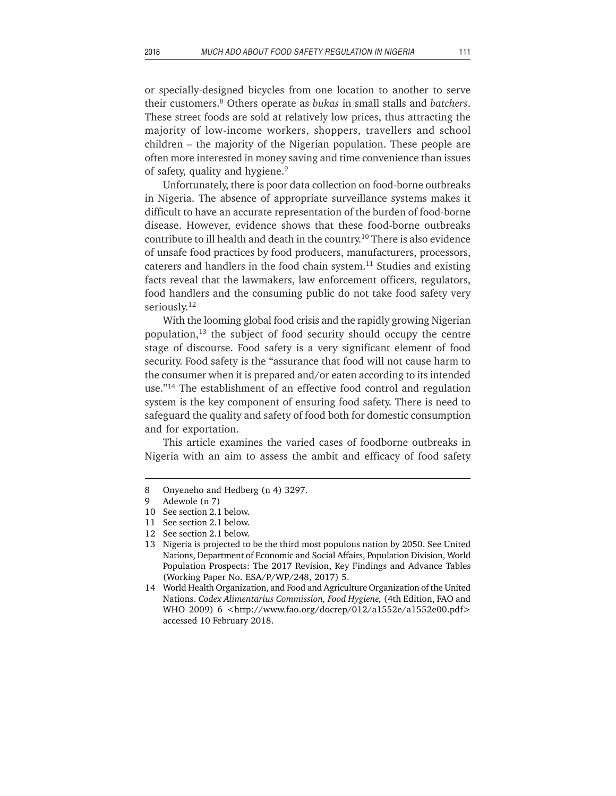or specially-designed bicycles from one location to another to serve their customers.8 Others operate as *bukas* in small stalls and *batchers*. These street foods are sold at relatively low prices, thus attracting the majority of low-income workers, shoppers, travellers and school children – the majority of the Nigerian population. These people are often more interested in money saving and time convenience than issues of safety, quality and hygiene.<sup>9</sup>

Unfortunately, there is poor data collection on food-borne outbreaks in Nigeria. The absence of appropriate surveillance systems makes it difficult to have an accurate representation of the burden of food-borne disease. However, evidence shows that these food-borne outbreaks contribute to ill health and death in the country.10 There is also evidence of unsafe food practices by food producers, manufacturers, processors, caterers and handlers in the food chain system. $11$  Studies and existing facts reveal that the lawmakers, law enforcement officers, regulators, food handlers and the consuming public do not take food safety very seriously.<sup>12</sup>

With the looming global food crisis and the rapidly growing Nigerian population, $13$  the subject of food security should occupy the centre stage of discourse. Food safety is a very significant element of food security. Food safety is the "assurance that food will not cause harm to the consumer when it is prepared and/or eaten according to its intended use."14 The establishment of an effective food control and regulation system is the key component of ensuring food safety. There is need to safeguard the quality and safety of food both for domestic consumption and for exportation.

This article examines the varied cases of foodborne outbreaks in Nigeria with an aim to assess the ambit and efficacy of food safety

<sup>8</sup> Onyeneho and Hedberg (n 4) 3297.

<sup>9</sup> Adewole (n 7)

<sup>10</sup> See section 2.1 below.

<sup>11</sup> See section 2.1 below.

<sup>12</sup> See section 2.1 below.

<sup>13</sup> Nigeria is projected to be the third most populous nation by 2050. See United Nations, Department of Economic and Social Affairs, Population Division, World Population Prospects: The 2017 Revision, Key Findings and Advance Tables (Working Paper No. ESA/P/WP/248, 2017) 5.

<sup>14</sup> World Health Organization, and Food and Agriculture Organization of the United Nations. *Codex Alimentarius Commission, Food Hygiene,* (4th Edition, FAO and WHO 2009) 6 <http://www.fao.org/docrep/012/a1552e/a1552e00.pdf> accessed 10 February 2018.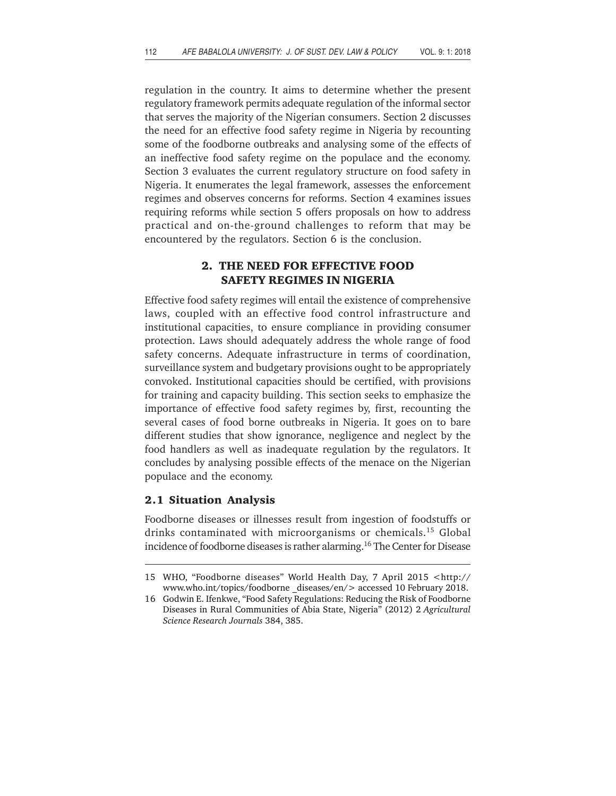regulation in the country. It aims to determine whether the present regulatory framework permits adequate regulation of the informal sector that serves the majority of the Nigerian consumers. Section 2 discusses the need for an effective food safety regime in Nigeria by recounting some of the foodborne outbreaks and analysing some of the effects of an ineffective food safety regime on the populace and the economy. Section 3 evaluates the current regulatory structure on food safety in Nigeria. It enumerates the legal framework, assesses the enforcement regimes and observes concerns for reforms. Section 4 examines issues requiring reforms while section 5 offers proposals on how to address practical and on-the-ground challenges to reform that may be encountered by the regulators. Section 6 is the conclusion.

## **2. THE NEED FOR EFFECTIVE FOOD SAFETY REGIMES IN NIGERIA**

Effective food safety regimes will entail the existence of comprehensive laws, coupled with an effective food control infrastructure and institutional capacities, to ensure compliance in providing consumer protection. Laws should adequately address the whole range of food safety concerns. Adequate infrastructure in terms of coordination, surveillance system and budgetary provisions ought to be appropriately convoked. Institutional capacities should be certified, with provisions for training and capacity building. This section seeks to emphasize the importance of effective food safety regimes by, first, recounting the several cases of food borne outbreaks in Nigeria. It goes on to bare different studies that show ignorance, negligence and neglect by the food handlers as well as inadequate regulation by the regulators. It concludes by analysing possible effects of the menace on the Nigerian populace and the economy.

### **2.1 Situation Analysis**

Foodborne diseases or illnesses result from ingestion of foodstuffs or drinks contaminated with microorganisms or chemicals.<sup>15</sup> Global incidence of foodborne diseases is rather alarming.<sup>16</sup> The Center for Disease

<sup>15</sup> WHO, "Foodborne diseases" World Health Day, 7 April 2015 <http:// www.who.int/topics/foodborne diseases/en/> accessed 10 February 2018.

<sup>16</sup> Godwin E. Ifenkwe, "Food Safety Regulations: Reducing the Risk of Foodborne Diseases in Rural Communities of Abia State, Nigeria" (2012) 2 *Agricultural Science Research Journals* 384, 385.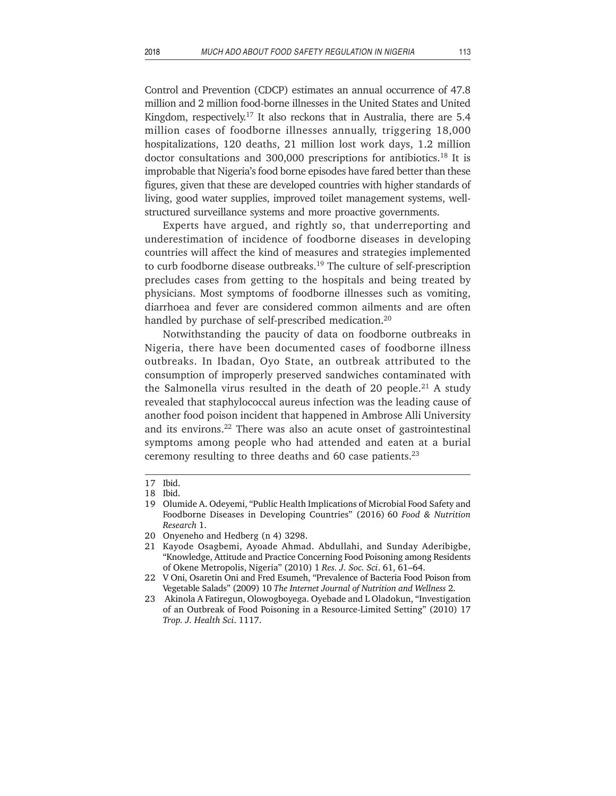Control and Prevention (CDCP) estimates an annual occurrence of 47.8 million and 2 million food-borne illnesses in the United States and United Kingdom, respectively.<sup>17</sup> It also reckons that in Australia, there are  $5.4$ million cases of foodborne illnesses annually, triggering 18,000 hospitalizations, 120 deaths, 21 million lost work days, 1.2 million doctor consultations and 300,000 prescriptions for antibiotics.18 It is improbable that Nigeria's food borne episodes have fared better than these figures, given that these are developed countries with higher standards of living, good water supplies, improved toilet management systems, wellstructured surveillance systems and more proactive governments.

Experts have argued, and rightly so, that underreporting and underestimation of incidence of foodborne diseases in developing countries will affect the kind of measures and strategies implemented to curb foodborne disease outbreaks.<sup>19</sup> The culture of self-prescription precludes cases from getting to the hospitals and being treated by physicians. Most symptoms of foodborne illnesses such as vomiting, diarrhoea and fever are considered common ailments and are often handled by purchase of self-prescribed medication.<sup>20</sup>

Notwithstanding the paucity of data on foodborne outbreaks in Nigeria, there have been documented cases of foodborne illness outbreaks. In Ibadan, Oyo State, an outbreak attributed to the consumption of improperly preserved sandwiches contaminated with the Salmonella virus resulted in the death of 20 people.<sup>21</sup> A study revealed that staphylococcal aureus infection was the leading cause of another food poison incident that happened in Ambrose Alli University and its environs.22 There was also an acute onset of gastrointestinal symptoms among people who had attended and eaten at a burial ceremony resulting to three deaths and 60 case patients. $23$ 

<sup>17</sup> Ibid.

<sup>18</sup> Ibid.

<sup>19</sup> Olumide A. Odeyemi, "Public Health Implications of Microbial Food Safety and Foodborne Diseases in Developing Countries" (2016) 60 *Food & Nutrition Research* 1.

<sup>20</sup> Onyeneho and Hedberg (n 4) 3298.

<sup>21</sup> Kayode Osagbemi, Ayoade Ahmad. Abdullahi, and Sunday Aderibigbe, "Knowledge, Attitude and Practice Concerning Food Poisoning among Residents of Okene Metropolis, Nigeria" (2010) 1 *Res. J. Soc. Sci*. 61, 61–64.

<sup>22</sup> V Oni, Osaretin Oni and Fred Esumeh, "Prevalence of Bacteria Food Poison from Vegetable Salads" (2009) 10 *The Internet Journal of Nutrition and Wellness* 2.

<sup>23</sup> Akinola A Fatiregun, Olowogboyega. Oyebade and L Oladokun, "Investigation of an Outbreak of Food Poisoning in a Resource-Limited Setting" (2010) 17 *Trop. J. Health Sci*. 1117.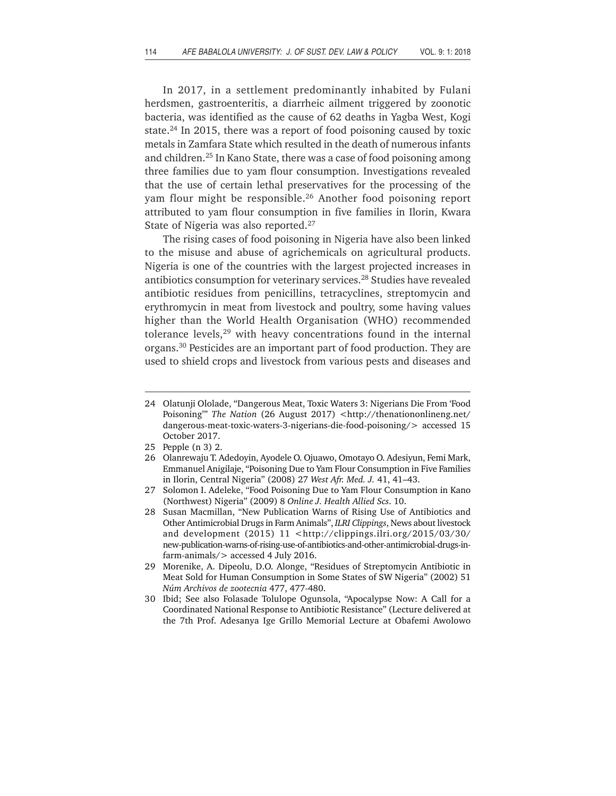In 2017, in a settlement predominantly inhabited by Fulani herdsmen, gastroenteritis, a diarrheic ailment triggered by zoonotic bacteria, was identified as the cause of 62 deaths in Yagba West, Kogi state.24 In 2015, there was a report of food poisoning caused by toxic metals in Zamfara State which resulted in the death of numerous infants and children.25 In Kano State, there was a case of food poisoning among three families due to yam flour consumption. Investigations revealed that the use of certain lethal preservatives for the processing of the yam flour might be responsible.26 Another food poisoning report attributed to yam flour consumption in five families in Ilorin, Kwara State of Nigeria was also reported.27

The rising cases of food poisoning in Nigeria have also been linked to the misuse and abuse of agrichemicals on agricultural products. Nigeria is one of the countries with the largest projected increases in antibiotics consumption for veterinary services.28 Studies have revealed antibiotic residues from penicillins, tetracyclines, streptomycin and erythromycin in meat from livestock and poultry, some having values higher than the World Health Organisation (WHO) recommended tolerance levels,<sup>29</sup> with heavy concentrations found in the internal organs.30 Pesticides are an important part of food production. They are used to shield crops and livestock from various pests and diseases and

25 Pepple (n 3) 2.

<sup>24</sup> Olatunji Ololade, "Dangerous Meat, Toxic Waters 3: Nigerians Die From 'Food Poisoning" The Nation (26 August 2017) <http://thenationonlineng.net/ dangerous-meat-toxic-waters-3-nigerians-die-food-poisoning/> accessed 15 October 2017.

<sup>26</sup> Olanrewaju T. Adedoyin, Ayodele O. Ojuawo, Omotayo O. Adesiyun, Femi Mark, Emmanuel Anigilaje, "Poisoning Due to Yam Flour Consumption in Five Families in Ilorin, Central Nigeria" (2008) 27 *West Afr. Med. J.* 41, 41–43.

<sup>27</sup> Solomon I. Adeleke, "Food Poisoning Due to Yam Flour Consumption in Kano (Northwest) Nigeria" (2009) 8 *Online J. Health Allied Scs*. 10.

<sup>28</sup> Susan Macmillan, "New Publication Warns of Rising Use of Antibiotics and Other Antimicrobial Drugs in Farm Animals", *ILRI Clippings*, News about livestock and development (2015) 11 <http://clippings.ilri.org/2015/03/30/ new-publication-warns-of-rising-use-of-antibiotics-and-other-antimicrobial-drugs-infarm-animals/> accessed 4 July 2016.

<sup>29</sup> Morenike, A. Dipeolu, D.O. Alonge, "Residues of Streptomycin Antibiotic in Meat Sold for Human Consumption in Some States of SW Nigeria" (2002) 51 *Núm Archivos de zootecnia* 477, 477-480.

<sup>30</sup> Ibid; See also Folasade Tolulope Ogunsola, "Apocalypse Now: A Call for a Coordinated National Response to Antibiotic Resistance" (Lecture delivered at the 7th Prof. Adesanya Ige Grillo Memorial Lecture at Obafemi Awolowo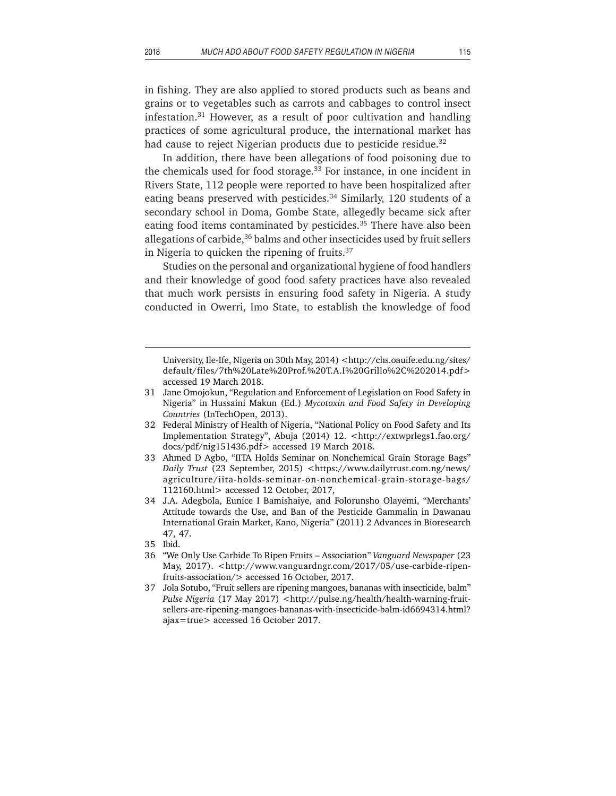in fishing. They are also applied to stored products such as beans and grains or to vegetables such as carrots and cabbages to control insect infestation.31 However, as a result of poor cultivation and handling practices of some agricultural produce, the international market has had cause to reject Nigerian products due to pesticide residue.<sup>32</sup>

In addition, there have been allegations of food poisoning due to the chemicals used for food storage.<sup>33</sup> For instance, in one incident in Rivers State, 112 people were reported to have been hospitalized after eating beans preserved with pesticides.<sup>34</sup> Similarly, 120 students of a secondary school in Doma, Gombe State, allegedly became sick after eating food items contaminated by pesticides.<sup>35</sup> There have also been allegations of carbide,<sup>36</sup> balms and other insecticides used by fruit sellers in Nigeria to quicken the ripening of fruits.37

Studies on the personal and organizational hygiene of food handlers and their knowledge of good food safety practices have also revealed that much work persists in ensuring food safety in Nigeria. A study conducted in Owerri, Imo State, to establish the knowledge of food

- 31 Jane Omojokun, "Regulation and Enforcement of Legislation on Food Safety in Nigeria" in Hussaini Makun (Ed.) *Mycotoxin and Food Safety in Developing Countries* (InTechOpen, 2013).
- 32 Federal Ministry of Health of Nigeria, "National Policy on Food Safety and Its Implementation Strategy", Abuja (2014) 12. <http://extwprlegs1.fao.org/ docs/pdf/nig151436.pdf> accessed 19 March 2018.
- 33 Ahmed D Agbo, "IITA Holds Seminar on Nonchemical Grain Storage Bags" *Daily Trust* (23 September, 2015) <https://www.dailytrust.com.ng/news/ agriculture/iita-holds-seminar-on-nonchemical-grain-storage-bags/ 112160.html> accessed 12 October, 2017,
- 34 J.A. Adegbola, Eunice I Bamishaiye, and Folorunsho Olayemi, "Merchants' Attitude towards the Use, and Ban of the Pesticide Gammalin in Dawanau International Grain Market, Kano, Nigeria" (2011) 2 Advances in Bioresearch 47, 47.
- 35 Ibid.
- 36 "We Only Use Carbide To Ripen Fruits Association" *Vanguard Newspaper* (23 May, 2017). <http://www.vanguardngr.com/2017/05/use-carbide-ripenfruits-association/> accessed 16 October, 2017.
- 37 Jola Sotubo, "Fruit sellers are ripening mangoes, bananas with insecticide, balm" *Pulse Nigeria* (17 May 2017) <http://pulse.ng/health/health-warning-fruitsellers-are-ripening-mangoes-bananas-with-insecticide-balm-id6694314.html? ajax=true> accessed 16 October 2017.

University, Ile-Ife, Nigeria on 30th May, 2014) <http://chs.oauife.edu.ng/sites/ default/files/7th%20Late%20Prof.%20T.A.I%20Grillo%2C%202014.pdf> accessed 19 March 2018.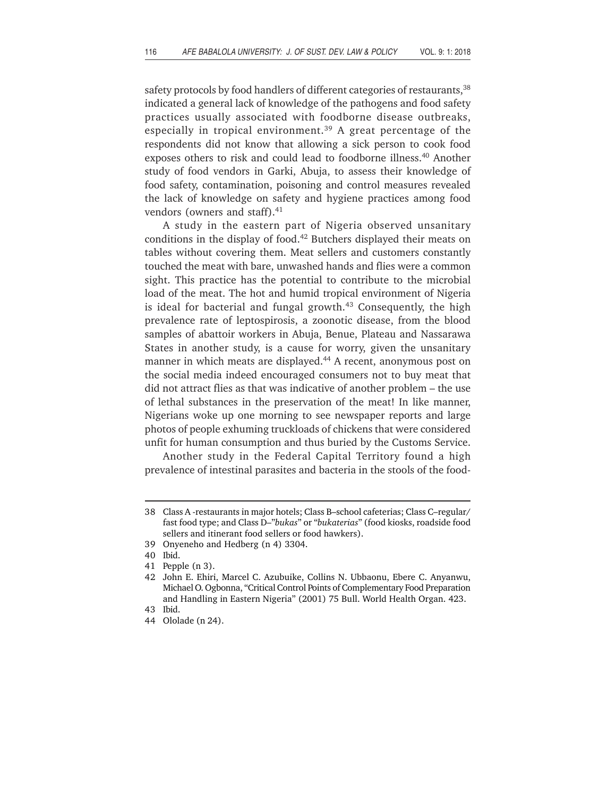safety protocols by food handlers of different categories of restaurants,<sup>38</sup> indicated a general lack of knowledge of the pathogens and food safety practices usually associated with foodborne disease outbreaks, especially in tropical environment.<sup>39</sup> A great percentage of the respondents did not know that allowing a sick person to cook food exposes others to risk and could lead to foodborne illness.40 Another study of food vendors in Garki, Abuja, to assess their knowledge of food safety, contamination, poisoning and control measures revealed the lack of knowledge on safety and hygiene practices among food vendors (owners and staff).<sup>41</sup>

A study in the eastern part of Nigeria observed unsanitary conditions in the display of food.<sup>42</sup> Butchers displayed their meats on tables without covering them. Meat sellers and customers constantly touched the meat with bare, unwashed hands and flies were a common sight. This practice has the potential to contribute to the microbial load of the meat. The hot and humid tropical environment of Nigeria is ideal for bacterial and fungal growth.<sup>43</sup> Consequently, the high prevalence rate of leptospirosis, a zoonotic disease, from the blood samples of abattoir workers in Abuja, Benue, Plateau and Nassarawa States in another study, is a cause for worry, given the unsanitary manner in which meats are displayed.<sup>44</sup> A recent, anonymous post on the social media indeed encouraged consumers not to buy meat that did not attract flies as that was indicative of another problem – the use of lethal substances in the preservation of the meat! In like manner, Nigerians woke up one morning to see newspaper reports and large photos of people exhuming truckloads of chickens that were considered unfit for human consumption and thus buried by the Customs Service.

Another study in the Federal Capital Territory found a high prevalence of intestinal parasites and bacteria in the stools of the food-

39 Onyeneho and Hedberg (n 4) 3304.

<sup>38</sup> Class A -restaurants in major hotels; Class B–school cafeterias; Class C–regular/ fast food type; and Class D–"*bukas*" or "*bukaterias*" (food kiosks, roadside food sellers and itinerant food sellers or food hawkers).

<sup>40</sup> Ibid.

<sup>41</sup> Pepple (n 3).

<sup>42</sup> John E. Ehiri, Marcel C. Azubuike, Collins N. Ubbaonu, Ebere C. Anyanwu, Michael O. Ogbonna, "Critical Control Points of Complementary Food Preparation and Handling in Eastern Nigeria" (2001) 75 Bull. World Health Organ. 423. 43 Ibid.

<sup>44</sup> Ololade (n 24).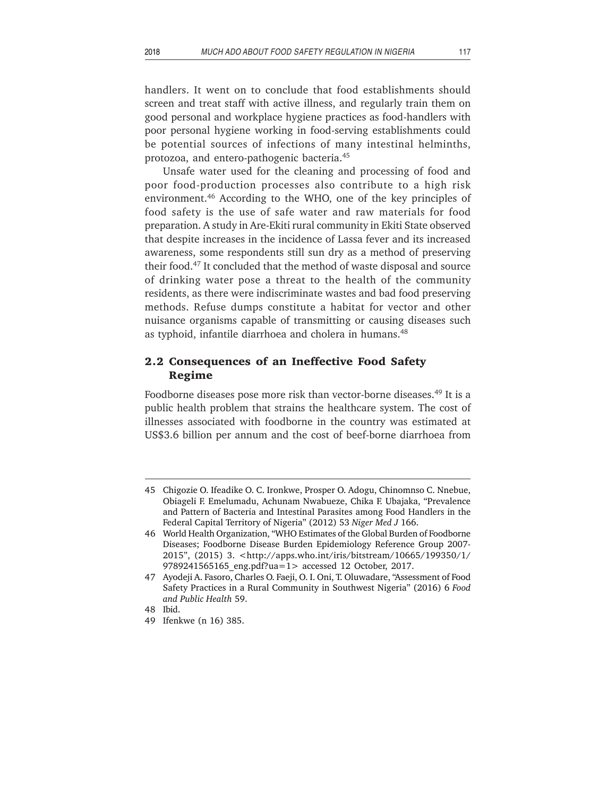handlers. It went on to conclude that food establishments should screen and treat staff with active illness, and regularly train them on good personal and workplace hygiene practices as food-handlers with poor personal hygiene working in food-serving establishments could be potential sources of infections of many intestinal helminths, protozoa, and entero-pathogenic bacteria.45

Unsafe water used for the cleaning and processing of food and poor food-production processes also contribute to a high risk environment.46 According to the WHO, one of the key principles of food safety is the use of safe water and raw materials for food preparation. A study in Are-Ekiti rural community in Ekiti State observed that despite increases in the incidence of Lassa fever and its increased awareness, some respondents still sun dry as a method of preserving their food.47 It concluded that the method of waste disposal and source of drinking water pose a threat to the health of the community residents, as there were indiscriminate wastes and bad food preserving methods. Refuse dumps constitute a habitat for vector and other nuisance organisms capable of transmitting or causing diseases such as typhoid, infantile diarrhoea and cholera in humans.48

## **2.2 Consequences of an Ineffective Food Safety Regime**

Foodborne diseases pose more risk than vector-borne diseases.<sup>49</sup> It is a public health problem that strains the healthcare system. The cost of illnesses associated with foodborne in the country was estimated at US\$3.6 billion per annum and the cost of beef-borne diarrhoea from

<sup>45</sup> Chigozie O. Ifeadike O. C. Ironkwe, Prosper O. Adogu, Chinomnso C. Nnebue, Obiageli F. Emelumadu, Achunam Nwabueze, Chika F. Ubajaka, "Prevalence and Pattern of Bacteria and Intestinal Parasites among Food Handlers in the Federal Capital Territory of Nigeria" (2012) 53 *Niger Med J* 166.

<sup>46</sup> World Health Organization, "WHO Estimates of the Global Burden of Foodborne Diseases; Foodborne Disease Burden Epidemiology Reference Group 2007- 2015", (2015) 3. <http://apps.who.int/iris/bitstream/10665/199350/1/ 9789241565165\_eng.pdf?ua=1> accessed 12 October, 2017.

<sup>47</sup> Ayodeji A. Fasoro, Charles O. Faeji, O. I. Oni, T. Oluwadare, "Assessment of Food Safety Practices in a Rural Community in Southwest Nigeria" (2016) 6 *Food and Public Health* 59.

<sup>48</sup> Ibid.

<sup>49</sup> Ifenkwe (n 16) 385.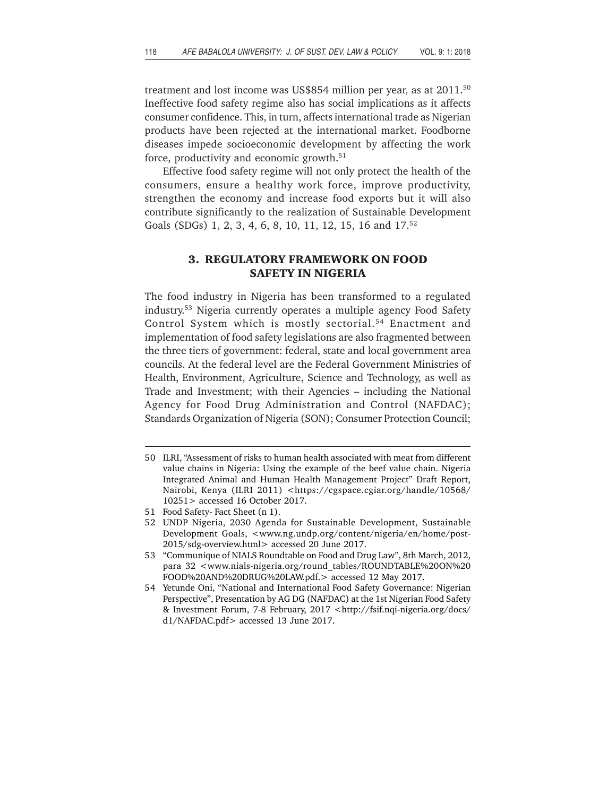treatment and lost income was US\$854 million per year, as at 2011.<sup>50</sup> Ineffective food safety regime also has social implications as it affects consumer confidence. This, in turn, affects international trade as Nigerian products have been rejected at the international market. Foodborne diseases impede socioeconomic development by affecting the work force, productivity and economic growth.51

Effective food safety regime will not only protect the health of the consumers, ensure a healthy work force, improve productivity, strengthen the economy and increase food exports but it will also contribute significantly to the realization of Sustainable Development Goals (SDGs) 1, 2, 3, 4, 6, 8, 10, 11, 12, 15, 16 and 17.<sup>52</sup>

# **3. REGULATORY FRAMEWORK ON FOOD SAFETY IN NIGERIA**

The food industry in Nigeria has been transformed to a regulated industry.53 Nigeria currently operates a multiple agency Food Safety Control System which is mostly sectorial.<sup>54</sup> Enactment and implementation of food safety legislations are also fragmented between the three tiers of government: federal, state and local government area councils. At the federal level are the Federal Government Ministries of Health, Environment, Agriculture, Science and Technology, as well as Trade and Investment; with their Agencies – including the National Agency for Food Drug Administration and Control (NAFDAC); Standards Organization of Nigeria (SON); Consumer Protection Council;

<sup>50</sup> ILRI, "Assessment of risks to human health associated with meat from different value chains in Nigeria: Using the example of the beef value chain. Nigeria Integrated Animal and Human Health Management Project" Draft Report, Nairobi, Kenya (ILRI 2011) <https://cgspace.cgiar.org/handle/10568/ 10251> accessed 16 October 2017.

<sup>51</sup> Food Safety- Fact Sheet (n 1).

<sup>52</sup> UNDP Nigeria, 2030 Agenda for Sustainable Development, Sustainable Development Goals, <www.ng.undp.org/content/nigeria/en/home/post-2015/sdg-overview.html> accessed 20 June 2017.

<sup>53 &</sup>quot;Communique of NIALS Roundtable on Food and Drug Law", 8th March, 2012, para 32 <www.nials-nigeria.org/round\_tables/ROUNDTABLE%20ON%20 FOOD%20AND%20DRUG%20LAW.pdf.> accessed 12 May 2017.

<sup>54</sup> Yetunde Oni, "National and International Food Safety Governance: Nigerian Perspective", Presentation by AG DG (NAFDAC) at the 1st Nigerian Food Safety & Investment Forum, 7-8 February, 2017 <http://fsif.nqi-nigeria.org/docs/ d1/NAFDAC.pdf> accessed 13 June 2017.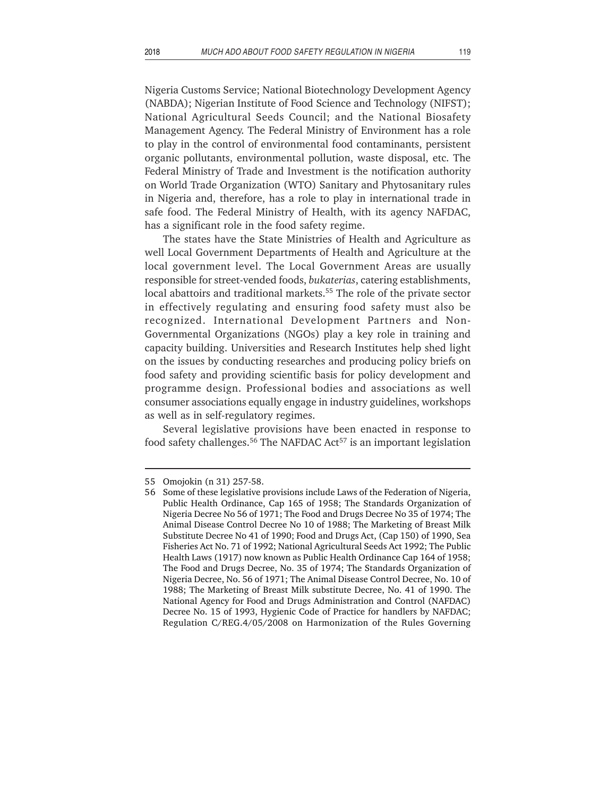Nigeria Customs Service; National Biotechnology Development Agency (NABDA); Nigerian Institute of Food Science and Technology (NIFST); National Agricultural Seeds Council; and the National Biosafety Management Agency. The Federal Ministry of Environment has a role to play in the control of environmental food contaminants, persistent organic pollutants, environmental pollution, waste disposal, etc. The Federal Ministry of Trade and Investment is the notification authority on World Trade Organization (WTO) Sanitary and Phytosanitary rules in Nigeria and, therefore, has a role to play in international trade in safe food. The Federal Ministry of Health, with its agency NAFDAC, has a significant role in the food safety regime.

The states have the State Ministries of Health and Agriculture as well Local Government Departments of Health and Agriculture at the local government level. The Local Government Areas are usually responsible for street-vended foods, *bukaterias*, catering establishments, local abattoirs and traditional markets.<sup>55</sup> The role of the private sector in effectively regulating and ensuring food safety must also be recognized. International Development Partners and Non-Governmental Organizations (NGOs) play a key role in training and capacity building. Universities and Research Institutes help shed light on the issues by conducting researches and producing policy briefs on food safety and providing scientific basis for policy development and programme design. Professional bodies and associations as well consumer associations equally engage in industry guidelines, workshops as well as in self-regulatory regimes.

Several legislative provisions have been enacted in response to food safety challenges.<sup>56</sup> The NAFDAC Act<sup>57</sup> is an important legislation

<sup>55</sup> Omojokin (n 31) 257-58.

<sup>56</sup> Some of these legislative provisions include Laws of the Federation of Nigeria, Public Health Ordinance, Cap 165 of 1958; The Standards Organization of Nigeria Decree No 56 of 1971; The Food and Drugs Decree No 35 of 1974; The Animal Disease Control Decree No 10 of 1988; The Marketing of Breast Milk Substitute Decree No 41 of 1990; Food and Drugs Act, (Cap 150) of 1990, Sea Fisheries Act No. 71 of 1992; National Agricultural Seeds Act 1992; The Public Health Laws (1917) now known as Public Health Ordinance Cap 164 of 1958; The Food and Drugs Decree, No. 35 of 1974; The Standards Organization of Nigeria Decree, No. 56 of 1971; The Animal Disease Control Decree, No. 10 of 1988; The Marketing of Breast Milk substitute Decree, No. 41 of 1990. The National Agency for Food and Drugs Administration and Control (NAFDAC) Decree No. 15 of 1993, Hygienic Code of Practice for handlers by NAFDAC; Regulation C/REG.4/05/2008 on Harmonization of the Rules Governing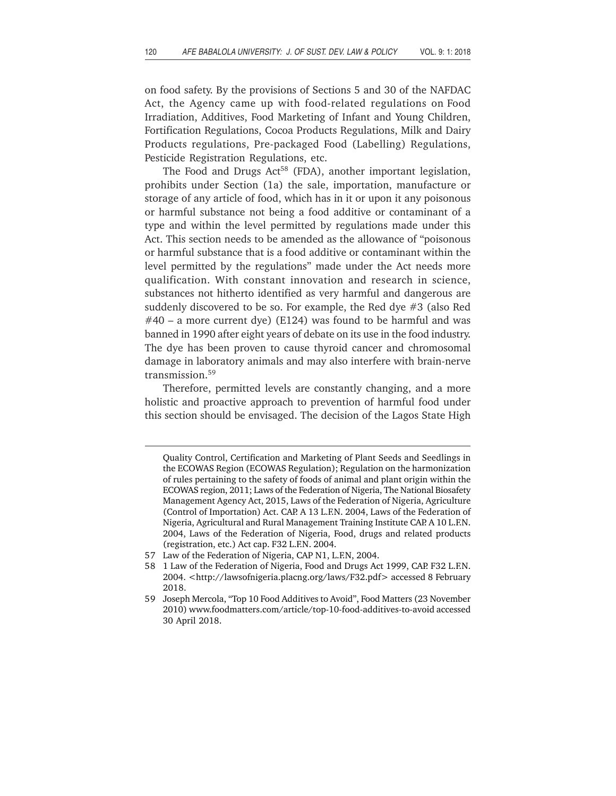on food safety. By the provisions of Sections 5 and 30 of the NAFDAC Act, the Agency came up with food-related regulations on Food Irradiation, Additives, Food Marketing of Infant and Young Children, Fortification Regulations, Cocoa Products Regulations, Milk and Dairy Products regulations, Pre-packaged Food (Labelling) Regulations, Pesticide Registration Regulations, etc.

The Food and Drugs Act<sup>58</sup> (FDA), another important legislation, prohibits under Section (1a) the sale, importation, manufacture or storage of any article of food, which has in it or upon it any poisonous or harmful substance not being a food additive or contaminant of a type and within the level permitted by regulations made under this Act. This section needs to be amended as the allowance of "poisonous or harmful substance that is a food additive or contaminant within the level permitted by the regulations" made under the Act needs more qualification. With constant innovation and research in science, substances not hitherto identified as very harmful and dangerous are suddenly discovered to be so. For example, the Red dye #3 (also Red  $#40 - a$  more current dye) (E124) was found to be harmful and was banned in 1990 after eight years of debate on its use in the food industry. The dye has been proven to cause thyroid cancer and chromosomal damage in laboratory animals and may also interfere with brain-nerve transmission.59

Therefore, permitted levels are constantly changing, and a more holistic and proactive approach to prevention of harmful food under this section should be envisaged. The decision of the Lagos State High

Quality Control, Certification and Marketing of Plant Seeds and Seedlings in the ECOWAS Region (ECOWAS Regulation); Regulation on the harmonization of rules pertaining to the safety of foods of animal and plant origin within the ECOWAS region, 2011; Laws of the Federation of Nigeria, The National Biosafety Management Agency Act, 2015, Laws of the Federation of Nigeria, Agriculture (Control of Importation) Act. CAP. A 13 L.F.N. 2004, Laws of the Federation of Nigeria, Agricultural and Rural Management Training Institute CAP. A 10 L.F.N. 2004, Laws of the Federation of Nigeria, Food, drugs and related products (registration, etc.) Act cap. F32 L.F.N. 2004.

<sup>57</sup> Law of the Federation of Nigeria, CAP N1, L.F.N, 2004.

<sup>58 1</sup> Law of the Federation of Nigeria, Food and Drugs Act 1999, CAP. F32 L.F.N. 2004. <http://lawsofnigeria.placng.org/laws/F32.pdf> accessed 8 February 2018.

<sup>59</sup> Joseph Mercola, "Top 10 Food Additives to Avoid", Food Matters (23 November 2010) www.foodmatters.com/article/top-10-food-additives-to-avoid accessed 30 April 2018.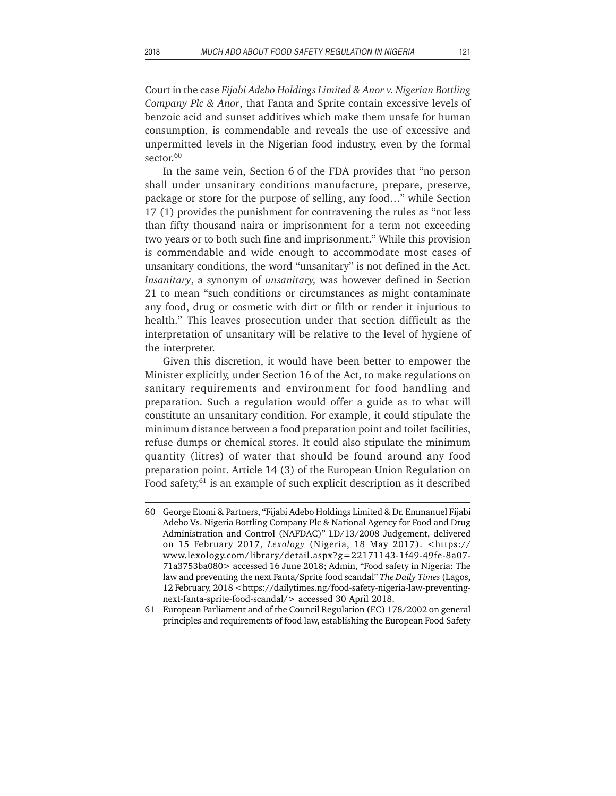Court in the case *Fijabi Adebo Holdings Limited & Anor v. Nigerian Bottling Company Plc & Anor*, that Fanta and Sprite contain excessive levels of benzoic acid and sunset additives which make them unsafe for human consumption, is commendable and reveals the use of excessive and unpermitted levels in the Nigerian food industry, even by the formal sector.<sup>60</sup>

In the same vein, Section 6 of the FDA provides that "no person shall under unsanitary conditions manufacture, prepare, preserve, package or store for the purpose of selling, any food…" while Section 17 (1) provides the punishment for contravening the rules as "not less than fifty thousand naira or imprisonment for a term not exceeding two years or to both such fine and imprisonment." While this provision is commendable and wide enough to accommodate most cases of unsanitary conditions, the word "unsanitary" is not defined in the Act. *Insanitary*, a synonym of *unsanitary,* was however defined in Section 21 to mean "such conditions or circumstances as might contaminate any food, drug or cosmetic with dirt or filth or render it injurious to health." This leaves prosecution under that section difficult as the interpretation of unsanitary will be relative to the level of hygiene of the interpreter.

Given this discretion, it would have been better to empower the Minister explicitly, under Section 16 of the Act, to make regulations on sanitary requirements and environment for food handling and preparation. Such a regulation would offer a guide as to what will constitute an unsanitary condition. For example, it could stipulate the minimum distance between a food preparation point and toilet facilities, refuse dumps or chemical stores. It could also stipulate the minimum quantity (litres) of water that should be found around any food preparation point. Article 14 (3) of the European Union Regulation on Food safety, $61$  is an example of such explicit description as it described

<sup>60</sup> George Etomi & Partners, "Fijabi Adebo Holdings Limited & Dr. Emmanuel Fijabi Adebo Vs. Nigeria Bottling Company Plc & National Agency for Food and Drug Administration and Control (NAFDAC)" LD/13/2008 Judgement, delivered on 15 February 2017, *Lexology* (Nigeria, 18 May 2017). <https:// www.lexology.com/library/detail.aspx?g=22171143-1f49-49fe-8a07- 71a3753ba080> accessed 16 June 2018; Admin, "Food safety in Nigeria: The law and preventing the next Fanta/Sprite food scandal" *The Daily Times* (Lagos, 12 February, 2018 <https://dailytimes.ng/food-safety-nigeria-law-preventingnext-fanta-sprite-food-scandal/> accessed 30 April 2018.

<sup>61</sup> European Parliament and of the Council Regulation (EC) 178/2002 on general principles and requirements of food law, establishing the European Food Safety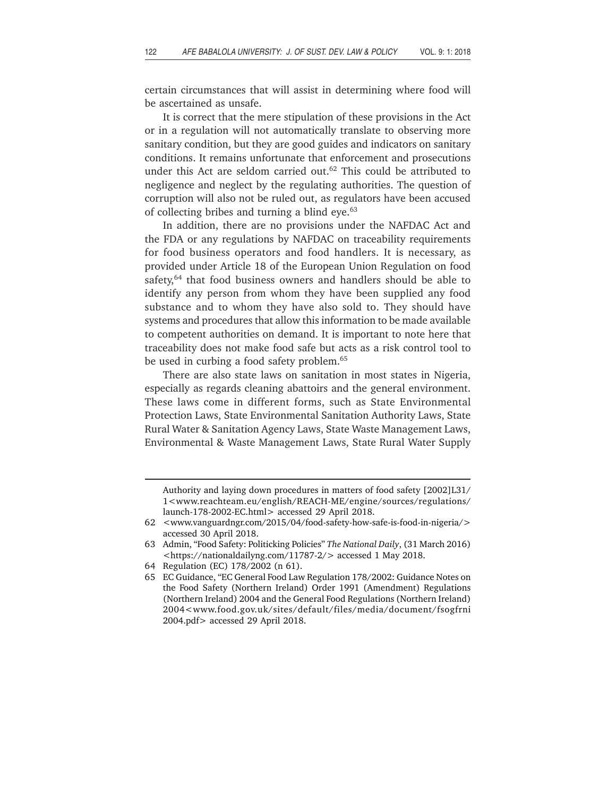certain circumstances that will assist in determining where food will be ascertained as unsafe.

It is correct that the mere stipulation of these provisions in the Act or in a regulation will not automatically translate to observing more sanitary condition, but they are good guides and indicators on sanitary conditions. It remains unfortunate that enforcement and prosecutions under this Act are seldom carried out.<sup>62</sup> This could be attributed to negligence and neglect by the regulating authorities. The question of corruption will also not be ruled out, as regulators have been accused of collecting bribes and turning a blind eye.<sup>63</sup>

In addition, there are no provisions under the NAFDAC Act and the FDA or any regulations by NAFDAC on traceability requirements for food business operators and food handlers. It is necessary, as provided under Article 18 of the European Union Regulation on food safety,<sup>64</sup> that food business owners and handlers should be able to identify any person from whom they have been supplied any food substance and to whom they have also sold to. They should have systems and procedures that allow this information to be made available to competent authorities on demand. It is important to note here that traceability does not make food safe but acts as a risk control tool to be used in curbing a food safety problem.<sup>65</sup>

There are also state laws on sanitation in most states in Nigeria, especially as regards cleaning abattoirs and the general environment. These laws come in different forms, such as State Environmental Protection Laws, State Environmental Sanitation Authority Laws, State Rural Water & Sanitation Agency Laws, State Waste Management Laws, Environmental & Waste Management Laws, State Rural Water Supply

Authority and laying down procedures in matters of food safety [2002]L31/ 1<www.reachteam.eu/english/REACH-ME/engine/sources/regulations/ launch-178-2002-EC.html> accessed 29 April 2018.

<sup>62 &</sup>lt;www.vanguardngr.com/2015/04/food-safety-how-safe-is-food-in-nigeria/> accessed 30 April 2018.

<sup>63</sup> Admin, "Food Safety: Politicking Policies" *The National Daily*, (31 March 2016) <https://nationaldailyng.com/11787-2/> accessed 1 May 2018.

<sup>64</sup> Regulation (EC) 178/2002 (n 61).

<sup>65</sup> EC Guidance, "EC General Food Law Regulation 178/2002: Guidance Notes on the Food Safety (Northern Ireland) Order 1991 (Amendment) Regulations (Northern Ireland) 2004 and the General Food Regulations (Northern Ireland) 2004<www.food.gov.uk/sites/default/files/media/document/fsogfrni 2004.pdf> accessed 29 April 2018.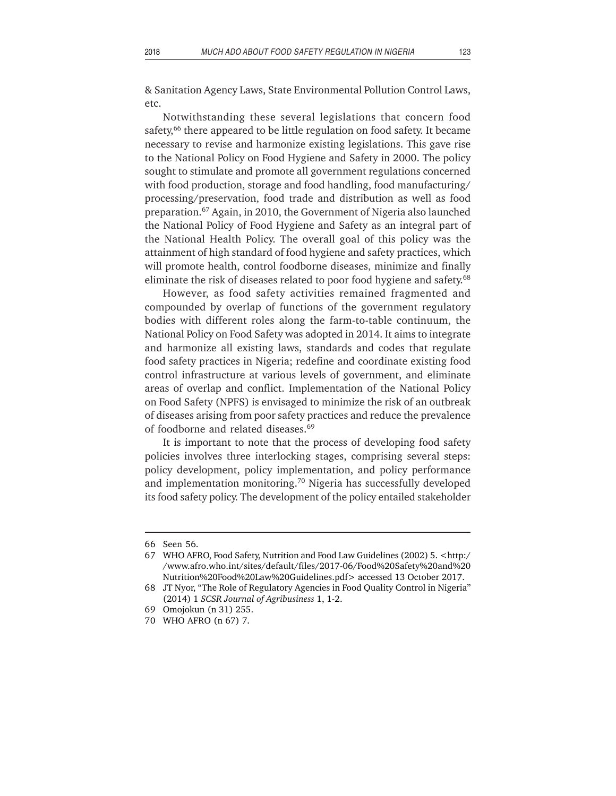& Sanitation Agency Laws, State Environmental Pollution Control Laws, etc.

Notwithstanding these several legislations that concern food safety,<sup>66</sup> there appeared to be little regulation on food safety. It became necessary to revise and harmonize existing legislations. This gave rise to the National Policy on Food Hygiene and Safety in 2000. The policy sought to stimulate and promote all government regulations concerned with food production, storage and food handling, food manufacturing/ processing/preservation, food trade and distribution as well as food preparation.67 Again, in 2010, the Government of Nigeria also launched the National Policy of Food Hygiene and Safety as an integral part of the National Health Policy. The overall goal of this policy was the attainment of high standard of food hygiene and safety practices, which will promote health, control foodborne diseases, minimize and finally eliminate the risk of diseases related to poor food hygiene and safety.<sup>68</sup>

However, as food safety activities remained fragmented and compounded by overlap of functions of the government regulatory bodies with different roles along the farm-to-table continuum, the National Policy on Food Safety was adopted in 2014. It aims to integrate and harmonize all existing laws, standards and codes that regulate food safety practices in Nigeria; redefine and coordinate existing food control infrastructure at various levels of government, and eliminate areas of overlap and conflict. Implementation of the National Policy on Food Safety (NPFS) is envisaged to minimize the risk of an outbreak of diseases arising from poor safety practices and reduce the prevalence of foodborne and related diseases.69

It is important to note that the process of developing food safety policies involves three interlocking stages, comprising several steps: policy development, policy implementation, and policy performance and implementation monitoring.70 Nigeria has successfully developed its food safety policy. The development of the policy entailed stakeholder

<sup>66</sup> Seen 56.

<sup>67</sup> WHO AFRO, Food Safety, Nutrition and Food Law Guidelines (2002) 5. <http:/ /www.afro.who.int/sites/default/files/2017-06/Food%20Safety%20and%20 Nutrition%20Food%20Law%20Guidelines.pdf> accessed 13 October 2017.

<sup>68</sup> JT Nyor, "The Role of Regulatory Agencies in Food Quality Control in Nigeria" (2014) 1 *SCSR Journal of Agribusiness* 1, 1-2.

<sup>69</sup> Omojokun (n 31) 255.

<sup>70</sup> WHO AFRO (n 67) 7.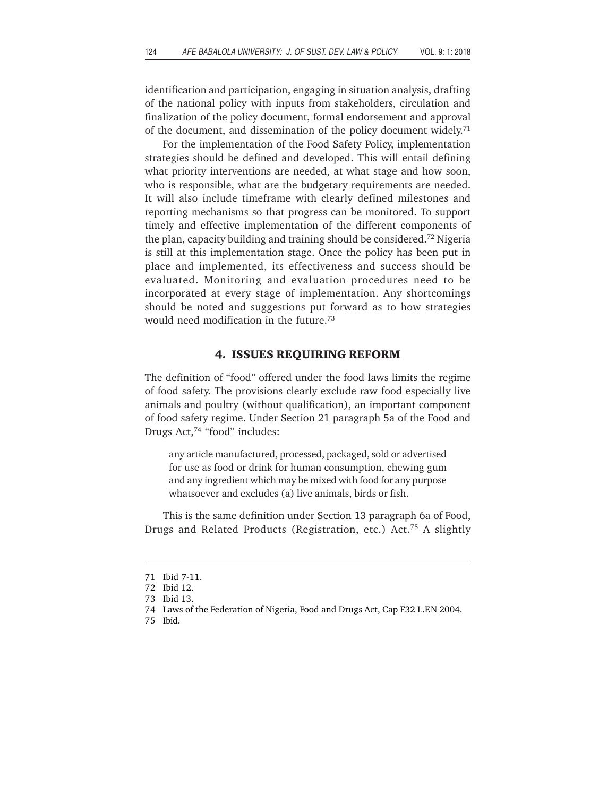identification and participation, engaging in situation analysis, drafting of the national policy with inputs from stakeholders, circulation and finalization of the policy document, formal endorsement and approval of the document, and dissemination of the policy document widely.<sup>71</sup>

For the implementation of the Food Safety Policy, implementation strategies should be defined and developed. This will entail defining what priority interventions are needed, at what stage and how soon, who is responsible, what are the budgetary requirements are needed. It will also include timeframe with clearly defined milestones and reporting mechanisms so that progress can be monitored. To support timely and effective implementation of the different components of the plan, capacity building and training should be considered.72 Nigeria is still at this implementation stage. Once the policy has been put in place and implemented, its effectiveness and success should be evaluated. Monitoring and evaluation procedures need to be incorporated at every stage of implementation. Any shortcomings should be noted and suggestions put forward as to how strategies would need modification in the future.73

### **4. ISSUES REQUIRING REFORM**

The definition of "food" offered under the food laws limits the regime of food safety. The provisions clearly exclude raw food especially live animals and poultry (without qualification), an important component of food safety regime. Under Section 21 paragraph 5a of the Food and Drugs Act,<sup>74</sup> "food" includes:

any article manufactured, processed, packaged, sold or advertised for use as food or drink for human consumption, chewing gum and any ingredient which may be mixed with food for any purpose whatsoever and excludes (a) live animals, birds or fish.

This is the same definition under Section 13 paragraph 6a of Food, Drugs and Related Products (Registration, etc.) Act.75 A slightly

<sup>71</sup> Ibid 7-11.

<sup>72</sup> Ibid 12.

<sup>73</sup> Ibid 13.

<sup>74</sup> Laws of the Federation of Nigeria, Food and Drugs Act, Cap F32 L.F.N 2004.

<sup>75</sup> Ibid.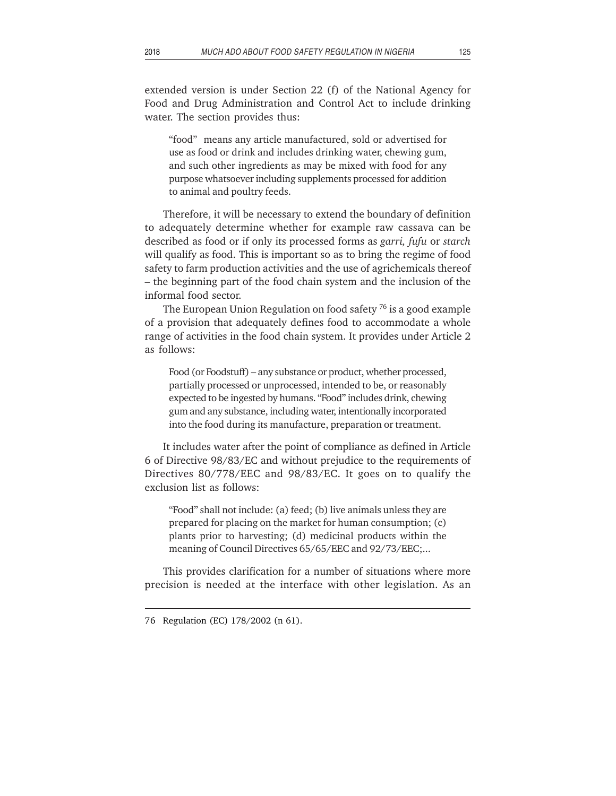extended version is under Section 22 (f) of the National Agency for Food and Drug Administration and Control Act to include drinking water. The section provides thus:

"food" means any article manufactured, sold or advertised for use as food or drink and includes drinking water, chewing gum, and such other ingredients as may be mixed with food for any purpose whatsoever including supplements processed for addition to animal and poultry feeds.

Therefore, it will be necessary to extend the boundary of definition to adequately determine whether for example raw cassava can be described as food or if only its processed forms as *garri, fufu* or *starch* will qualify as food. This is important so as to bring the regime of food safety to farm production activities and the use of agrichemicals thereof – the beginning part of the food chain system and the inclusion of the informal food sector.

The European Union Regulation on food safety 76 is a good example of a provision that adequately defines food to accommodate a whole range of activities in the food chain system. It provides under Article 2 as follows:

Food (or Foodstuff) – any substance or product, whether processed, partially processed or unprocessed, intended to be, or reasonably expected to be ingested by humans. "Food" includes drink, chewing gum and any substance, including water, intentionally incorporated into the food during its manufacture, preparation or treatment.

It includes water after the point of compliance as defined in Article 6 of Directive 98/83/EC and without prejudice to the requirements of Directives 80/778/EEC and 98/83/EC. It goes on to qualify the exclusion list as follows:

"Food" shall not include: (a) feed; (b) live animals unless they are prepared for placing on the market for human consumption; (c) plants prior to harvesting; (d) medicinal products within the meaning of Council Directives 65/65/EEC and 92/73/EEC;...

This provides clarification for a number of situations where more precision is needed at the interface with other legislation. As an

<sup>76</sup> Regulation (EC) 178/2002 (n 61).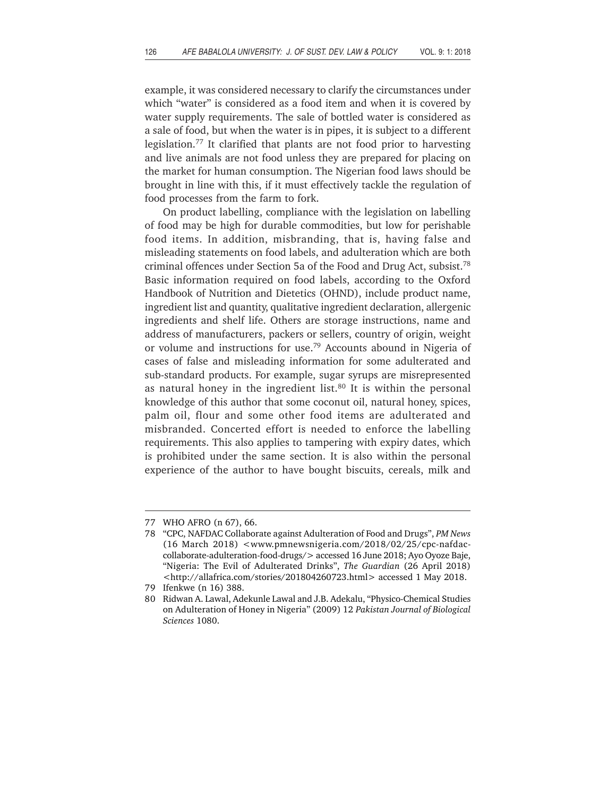example, it was considered necessary to clarify the circumstances under which "water" is considered as a food item and when it is covered by water supply requirements. The sale of bottled water is considered as a sale of food, but when the water is in pipes, it is subject to a different legislation.77 It clarified that plants are not food prior to harvesting and live animals are not food unless they are prepared for placing on the market for human consumption. The Nigerian food laws should be brought in line with this, if it must effectively tackle the regulation of food processes from the farm to fork.

On product labelling, compliance with the legislation on labelling of food may be high for durable commodities, but low for perishable food items. In addition, misbranding, that is, having false and misleading statements on food labels, and adulteration which are both criminal offences under Section 5a of the Food and Drug Act, subsist.78 Basic information required on food labels, according to the Oxford Handbook of Nutrition and Dietetics (OHND), include product name, ingredient list and quantity, qualitative ingredient declaration, allergenic ingredients and shelf life. Others are storage instructions, name and address of manufacturers, packers or sellers, country of origin, weight or volume and instructions for use.79 Accounts abound in Nigeria of cases of false and misleading information for some adulterated and sub-standard products. For example, sugar syrups are misrepresented as natural honey in the ingredient list. $80$  It is within the personal knowledge of this author that some coconut oil, natural honey, spices, palm oil, flour and some other food items are adulterated and misbranded. Concerted effort is needed to enforce the labelling requirements. This also applies to tampering with expiry dates, which is prohibited under the same section. It is also within the personal experience of the author to have bought biscuits, cereals, milk and

<sup>77</sup> WHO AFRO (n 67), 66.

<sup>78 &</sup>quot;CPC, NAFDAC Collaborate against Adulteration of Food and Drugs", *PM News* (16 March 2018) <www.pmnewsnigeria.com/2018/02/25/cpc-nafdaccollaborate-adulteration-food-drugs/> accessed 16 June 2018; Ayo Oyoze Baje, "Nigeria: The Evil of Adulterated Drinks", *The Guardian* (26 April 2018) <http://allafrica.com/stories/201804260723.html> accessed 1 May 2018.

<sup>79</sup> Ifenkwe (n 16) 388.

<sup>80</sup> Ridwan A. Lawal, Adekunle Lawal and J.B. Adekalu, "Physico-Chemical Studies on Adulteration of Honey in Nigeria" (2009) 12 *Pakistan Journal of Biological Sciences* 1080.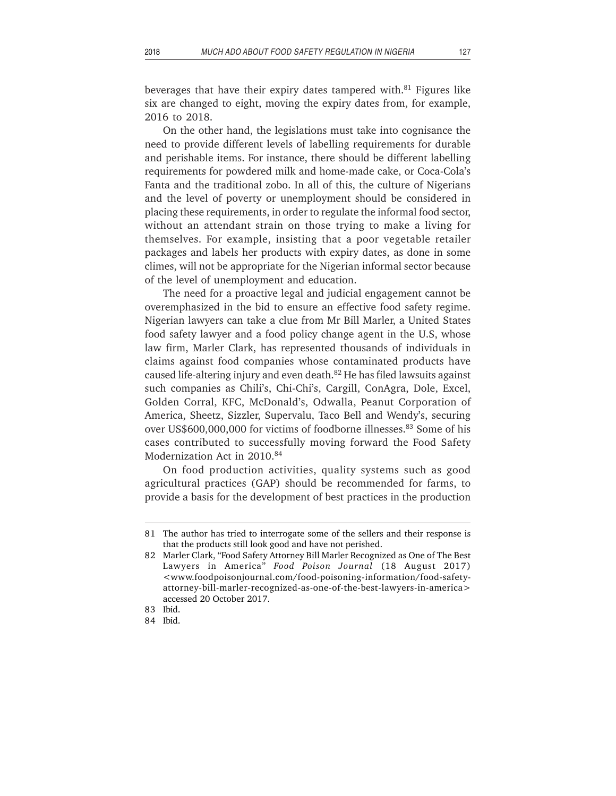beverages that have their expiry dates tampered with. $81$  Figures like six are changed to eight, moving the expiry dates from, for example, 2016 to 2018.

On the other hand, the legislations must take into cognisance the need to provide different levels of labelling requirements for durable and perishable items. For instance, there should be different labelling requirements for powdered milk and home-made cake, or Coca-Cola's Fanta and the traditional zobo. In all of this, the culture of Nigerians and the level of poverty or unemployment should be considered in placing these requirements, in order to regulate the informal food sector, without an attendant strain on those trying to make a living for themselves. For example, insisting that a poor vegetable retailer packages and labels her products with expiry dates, as done in some climes, will not be appropriate for the Nigerian informal sector because of the level of unemployment and education.

The need for a proactive legal and judicial engagement cannot be overemphasized in the bid to ensure an effective food safety regime. Nigerian lawyers can take a clue from Mr Bill Marler, a United States food safety lawyer and a food policy change agent in the U.S, whose law firm, Marler Clark, has represented thousands of individuals in claims against food companies whose contaminated products have caused life-altering injury and even death.82 He has filed lawsuits against such companies as Chili's, Chi-Chi's, Cargill, ConAgra, Dole, Excel, Golden Corral, KFC, McDonald's, Odwalla, Peanut Corporation of America, Sheetz, Sizzler, Supervalu, Taco Bell and Wendy's, securing over US\$600,000,000 for victims of foodborne illnesses.<sup>83</sup> Some of his cases contributed to successfully moving forward the Food Safety Modernization Act in 2010.<sup>84</sup>

On food production activities, quality systems such as good agricultural practices (GAP) should be recommended for farms, to provide a basis for the development of best practices in the production

<sup>81</sup> The author has tried to interrogate some of the sellers and their response is that the products still look good and have not perished.

<sup>82</sup> Marler Clark, "Food Safety Attorney Bill Marler Recognized as One of The Best Lawyers in America" *Food Poison Journal* (18 August 2017) <www.foodpoisonjournal.com/food-poisoning-information/food-safetyattorney-bill-marler-recognized-as-one-of-the-best-lawyers-in-america> accessed 20 October 2017.

<sup>83</sup> Ibid.

<sup>84</sup> Ibid.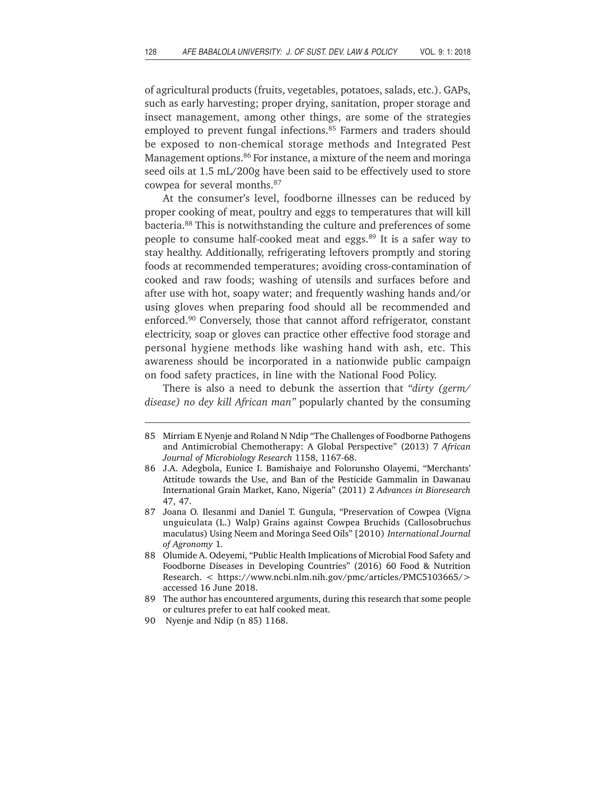of agricultural products (fruits, vegetables, potatoes, salads, etc.). GAPs, such as early harvesting; proper drying, sanitation, proper storage and insect management, among other things, are some of the strategies employed to prevent fungal infections.<sup>85</sup> Farmers and traders should be exposed to non-chemical storage methods and Integrated Pest Management options.<sup>86</sup> For instance, a mixture of the neem and moringa seed oils at 1.5 mL/200g have been said to be effectively used to store cowpea for several months.87

At the consumer's level, foodborne illnesses can be reduced by proper cooking of meat, poultry and eggs to temperatures that will kill bacteria.88 This is notwithstanding the culture and preferences of some people to consume half-cooked meat and eggs.<sup>89</sup> It is a safer way to stay healthy. Additionally, refrigerating leftovers promptly and storing foods at recommended temperatures; avoiding cross-contamination of cooked and raw foods; washing of utensils and surfaces before and after use with hot, soapy water; and frequently washing hands and/or using gloves when preparing food should all be recommended and enforced.<sup>90</sup> Conversely, those that cannot afford refrigerator, constant electricity, soap or gloves can practice other effective food storage and personal hygiene methods like washing hand with ash, etc. This awareness should be incorporated in a nationwide public campaign on food safety practices, in line with the National Food Policy.

There is also a need to debunk the assertion that *"dirty (germ/ disease) no dey kill African man"* popularly chanted by the consuming

<sup>85</sup> Mirriam E Nyenje and Roland N Ndip "The Challenges of Foodborne Pathogens and Antimicrobial Chemotherapy: A Global Perspective" (2013) 7 *African Journal of Microbiology Research* 1158, 1167-68.

<sup>86</sup> J.A. Adegbola, Eunice I. Bamishaiye and Folorunsho Olayemi, "Merchants' Attitude towards the Use, and Ban of the Pesticide Gammalin in Dawanau International Grain Market, Kano, Nigeria" (2011) 2 *Advances in Bioresearch* 47, 47.

<sup>87</sup> Joana O. Ilesanmi and Daniel T. Gungula, "Preservation of Cowpea (Vigna unguiculata (L.) Walp) Grains against Cowpea Bruchids (Callosobruchus maculatus) Using Neem and Moringa Seed Oils" [2010) *International Journal of Agronomy* 1*.*

<sup>88</sup> Olumide A. Odeyemi, "Public Health Implications of Microbial Food Safety and Foodborne Diseases in Developing Countries" (2016) 60 Food & Nutrition Research. < https://www.ncbi.nlm.nih.gov/pmc/articles/PMC5103665/> accessed 16 June 2018.

<sup>89</sup> The author has encountered arguments, during this research that some people or cultures prefer to eat half cooked meat.

<sup>90</sup> Nyenje and Ndip (n 85) 1168.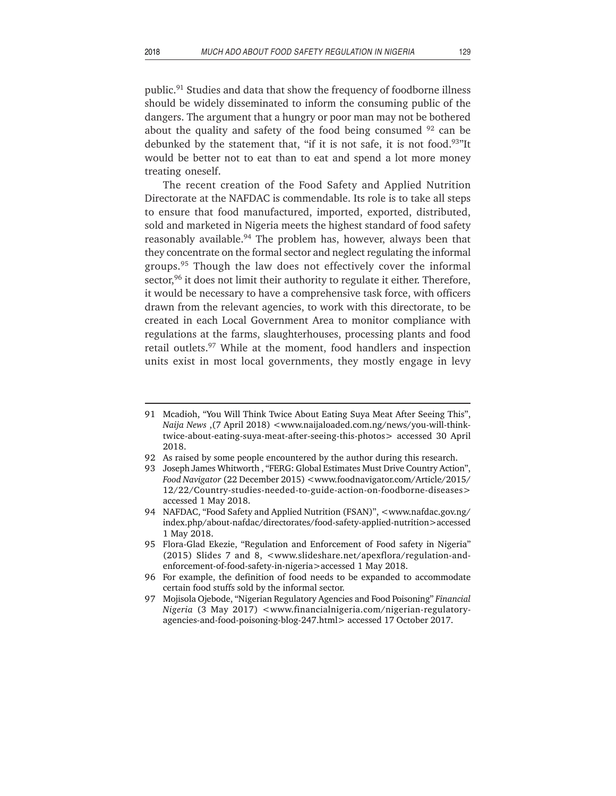public.91 Studies and data that show the frequency of foodborne illness should be widely disseminated to inform the consuming public of the dangers. The argument that a hungry or poor man may not be bothered about the quality and safety of the food being consumed  $92$  can be debunked by the statement that, "if it is not safe, it is not food.<sup>93"</sup>It would be better not to eat than to eat and spend a lot more money treating oneself.

The recent creation of the Food Safety and Applied Nutrition Directorate at the NAFDAC is commendable. Its role is to take all steps to ensure that food manufactured, imported, exported, distributed, sold and marketed in Nigeria meets the highest standard of food safety reasonably available.<sup>94</sup> The problem has, however, always been that they concentrate on the formal sector and neglect regulating the informal groups.<sup>95</sup> Though the law does not effectively cover the informal sector,<sup>96</sup> it does not limit their authority to regulate it either. Therefore, it would be necessary to have a comprehensive task force, with officers drawn from the relevant agencies, to work with this directorate, to be created in each Local Government Area to monitor compliance with regulations at the farms, slaughterhouses, processing plants and food retail outlets.<sup>97</sup> While at the moment, food handlers and inspection units exist in most local governments, they mostly engage in levy

- 92 As raised by some people encountered by the author during this research.
- 93 Joseph James Whitworth , "FERG: Global Estimates Must Drive Country Action", *Food Navigator* (22 December 2015) <www.foodnavigator.com/Article/2015/ 12/22/Country-studies-needed-to-guide-action-on-foodborne-diseases> accessed 1 May 2018.
- 94 NAFDAC, "Food Safety and Applied Nutrition (FSAN)", <www.nafdac.gov.ng/ index.php/about-nafdac/directorates/food-safety-applied-nutrition>accessed 1 May 2018.
- 95 Flora-Glad Ekezie, "Regulation and Enforcement of Food safety in Nigeria" (2015) Slides 7 and 8, <www.slideshare.net/apexflora/regulation-andenforcement-of-food-safety-in-nigeria>accessed 1 May 2018.
- 96 For example, the definition of food needs to be expanded to accommodate certain food stuffs sold by the informal sector.
- 97 Mojisola Ojebode, "Nigerian Regulatory Agencies and Food Poisoning" *Financial Nigeria* (3 May 2017) <www.financialnigeria.com/nigerian-regulatoryagencies-and-food-poisoning-blog-247.html> accessed 17 October 2017.

<sup>91</sup> Mcadioh, "You Will Think Twice About Eating Suya Meat After Seeing This", *Naija News* ,(7 April 2018) <www.naijaloaded.com.ng/news/you-will-thinktwice-about-eating-suya-meat-after-seeing-this-photos> accessed 30 April 2018.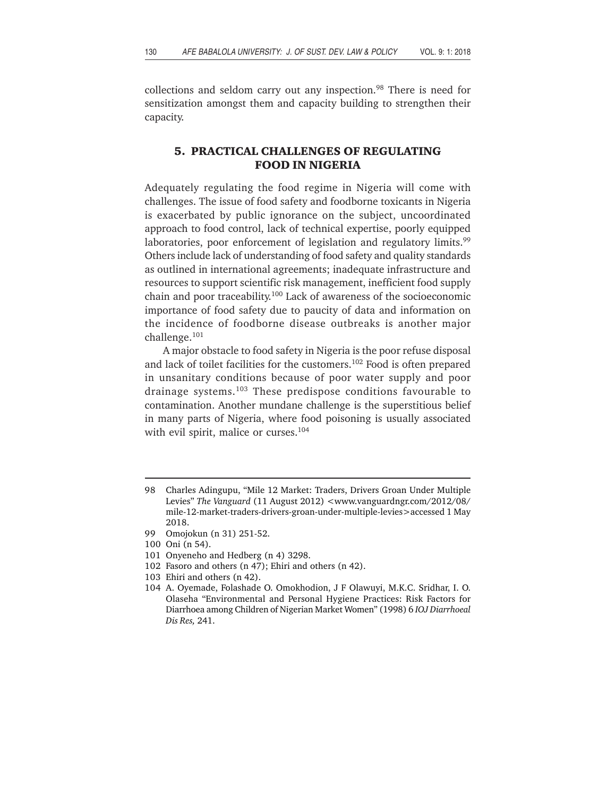collections and seldom carry out any inspection.<sup>98</sup> There is need for sensitization amongst them and capacity building to strengthen their capacity.

### **5. PRACTICAL CHALLENGES OF REGULATING FOOD IN NIGERIA**

Adequately regulating the food regime in Nigeria will come with challenges. The issue of food safety and foodborne toxicants in Nigeria is exacerbated by public ignorance on the subject, uncoordinated approach to food control, lack of technical expertise, poorly equipped laboratories, poor enforcement of legislation and regulatory limits.<sup>99</sup> Others include lack of understanding of food safety and quality standards as outlined in international agreements; inadequate infrastructure and resources to support scientific risk management, inefficient food supply chain and poor traceability.<sup>100</sup> Lack of awareness of the socioeconomic importance of food safety due to paucity of data and information on the incidence of foodborne disease outbreaks is another major challenge.101

A major obstacle to food safety in Nigeria is the poor refuse disposal and lack of toilet facilities for the customers.102 Food is often prepared in unsanitary conditions because of poor water supply and poor drainage systems.103 These predispose conditions favourable to contamination. Another mundane challenge is the superstitious belief in many parts of Nigeria, where food poisoning is usually associated with evil spirit, malice or curses.<sup>104</sup>

<sup>98</sup> Charles Adingupu, "Mile 12 Market: Traders, Drivers Groan Under Multiple Levies" *The Vanguard* (11 August 2012) <www.vanguardngr.com/2012/08/ mile-12-market-traders-drivers-groan-under-multiple-levies>accessed 1 May 2018.

<sup>99</sup> Omojokun (n 31) 251-52.

<sup>100</sup> Oni (n 54).

<sup>101</sup> Onyeneho and Hedberg (n 4) 3298.

<sup>102</sup> Fasoro and others (n 47); Ehiri and others (n 42).

<sup>103</sup> Ehiri and others (n 42).

<sup>104</sup> A. Oyemade, Folashade O. Omokhodion, J F Olawuyi, M.K.C. Sridhar, I. O. Olaseha "Environmental and Personal Hygiene Practices: Risk Factors for Diarrhoea among Children of Nigerian Market Women" (1998) 6 *IOJ Diarrhoeal Dis Res,* 241.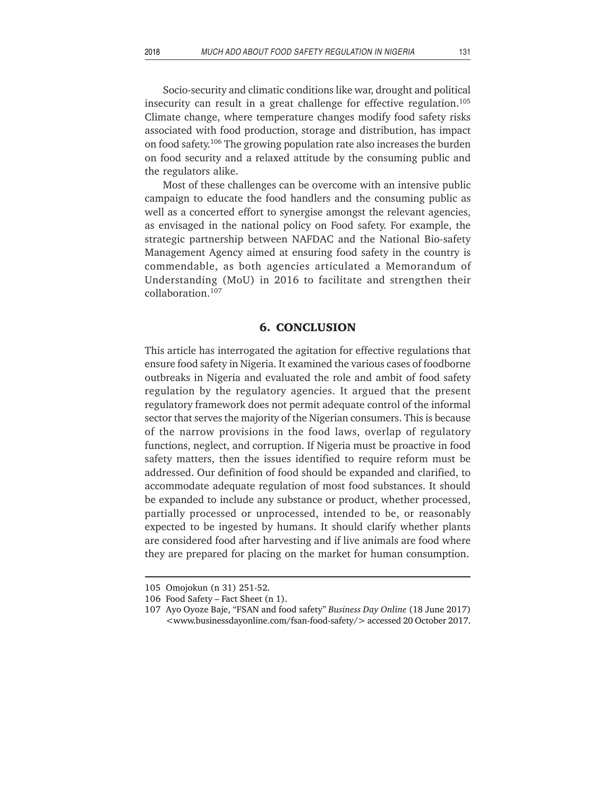Socio-security and climatic conditions like war, drought and political insecurity can result in a great challenge for effective regulation.<sup>105</sup> Climate change, where temperature changes modify food safety risks associated with food production, storage and distribution, has impact on food safety.<sup>106</sup> The growing population rate also increases the burden on food security and a relaxed attitude by the consuming public and the regulators alike.

Most of these challenges can be overcome with an intensive public campaign to educate the food handlers and the consuming public as well as a concerted effort to synergise amongst the relevant agencies, as envisaged in the national policy on Food safety. For example, the strategic partnership between NAFDAC and the National Bio-safety Management Agency aimed at ensuring food safety in the country is commendable, as both agencies articulated a Memorandum of Understanding (MoU) in 2016 to facilitate and strengthen their collaboration.107

#### **6. CONCLUSION**

This article has interrogated the agitation for effective regulations that ensure food safety in Nigeria. It examined the various cases of foodborne outbreaks in Nigeria and evaluated the role and ambit of food safety regulation by the regulatory agencies. It argued that the present regulatory framework does not permit adequate control of the informal sector that serves the majority of the Nigerian consumers. This is because of the narrow provisions in the food laws, overlap of regulatory functions, neglect, and corruption. If Nigeria must be proactive in food safety matters, then the issues identified to require reform must be addressed. Our definition of food should be expanded and clarified, to accommodate adequate regulation of most food substances. It should be expanded to include any substance or product, whether processed, partially processed or unprocessed, intended to be, or reasonably expected to be ingested by humans. It should clarify whether plants are considered food after harvesting and if live animals are food where they are prepared for placing on the market for human consumption.

<sup>105</sup> Omojokun (n 31) 251-52.

<sup>106</sup> Food Safety – Fact Sheet (n 1).

<sup>107</sup> Ayo Oyoze Baje, "FSAN and food safety" *Business Day Online* (18 June 2017) <www.businessdayonline.com/fsan-food-safety/> accessed 20 October 2017.